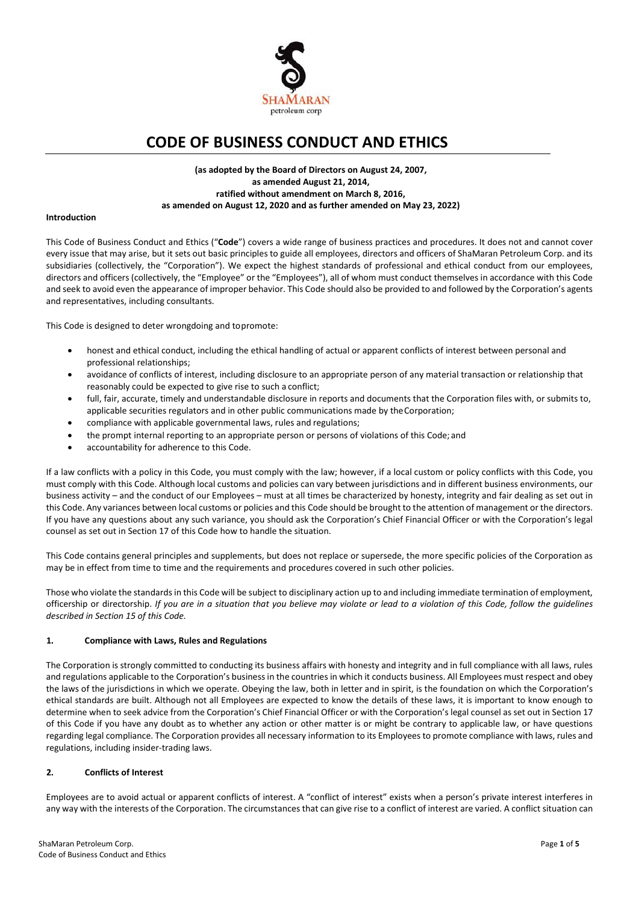

# **CODE OF BUSINESS CONDUCT AND ETHICS**

## **(as adopted by the Board of Directors on August 24, 2007, as amended August 21, 2014, ratified without amendment on March 8, 2016, as amended on August 12, 2020 and as further amended on May 23, 2022)**

#### **Introduction**

This Code of Business Conduct and Ethics ("**Code**") covers a wide range of business practices and procedures. It does not and cannot cover every issue that may arise, but it sets out basic principles to guide all employees, directors and officers of ShaMaran Petroleum Corp. and its subsidiaries (collectively, the "Corporation"). We expect the highest standards of professional and ethical conduct from our employees, directors and officers (collectively, the "Employee" or the "Employees"), all of whom must conduct themselves in accordance with this Code and seek to avoid even the appearance of improper behavior. This Code should also be provided to and followed by the Corporation's agents and representatives, including consultants.

This Code is designed to deter wrongdoing and topromote:

- honest and ethical conduct, including the ethical handling of actual or apparent conflicts of interest between personal and professional relationships;
- avoidance of conflicts of interest, including disclosure to an appropriate person of any material transaction or relationship that reasonably could be expected to give rise to such a conflict;
- full, fair, accurate, timely and understandable disclosure in reports and documents that the Corporation files with, or submits to, applicable securities regulators and in other public communications made by theCorporation;
- compliance with applicable governmental laws, rules and regulations;
- the prompt internal reporting to an appropriate person or persons of violations of this Code; and
- accountability for adherence to this Code.

If a law conflicts with a policy in this Code, you must comply with the law; however, if a local custom or policy conflicts with this Code, you must comply with this Code. Although local customs and policies can vary between jurisdictions and in different business environments, our business activity – and the conduct of our Employees – must at all times be characterized by honesty, integrity and fair dealing as set out in this Code. Any variances between local customs or policies and this Code should be brought to the attention of management or the directors. If you have any questions about any such variance, you should ask the Corporation's Chief Financial Officer or with the Corporation's legal counsel as set out in Section 17 of this Code how to handle the situation.

This Code contains general principles and supplements, but does not replace or supersede, the more specific policies of the Corporation as may be in effect from time to time and the requirements and procedures covered in such other policies.

Those who violate the standards in this Code will be subject to disciplinary action up to and including immediate termination of employment, officership or directorship. *If you are in a situation that you believe may violate or lead to a violation of this Code, follow the guidelines described in Section 15 of this Code.*

## **1. Compliance with Laws, Rules and Regulations**

The Corporation is strongly committed to conducting its business affairs with honesty and integrity and in full compliance with all laws, rules and regulations applicable to the Corporation's business in the countries in which it conducts business. All Employees must respect and obey the laws of the jurisdictions in which we operate. Obeying the law, both in letter and in spirit, is the foundation on which the Corporation's ethical standards are built. Although not all Employees are expected to know the details of these laws, it is important to know enough to determine when to seek advice from the Corporation's Chief Financial Officer or with the Corporation's legal counsel as set out in Section 17 of this Code if you have any doubt as to whether any action or other matter is or might be contrary to applicable law, or have questions regarding legal compliance. The Corporation provides all necessary information to its Employees to promote compliance with laws, rules and regulations, including insider‐trading laws.

## **2. Conflicts of Interest**

Employees are to avoid actual or apparent conflicts of interest. A "conflict of interest" exists when a person's private interest interferes in any way with the interests of the Corporation. The circumstances that can give rise to a conflict of interest are varied. A conflict situation can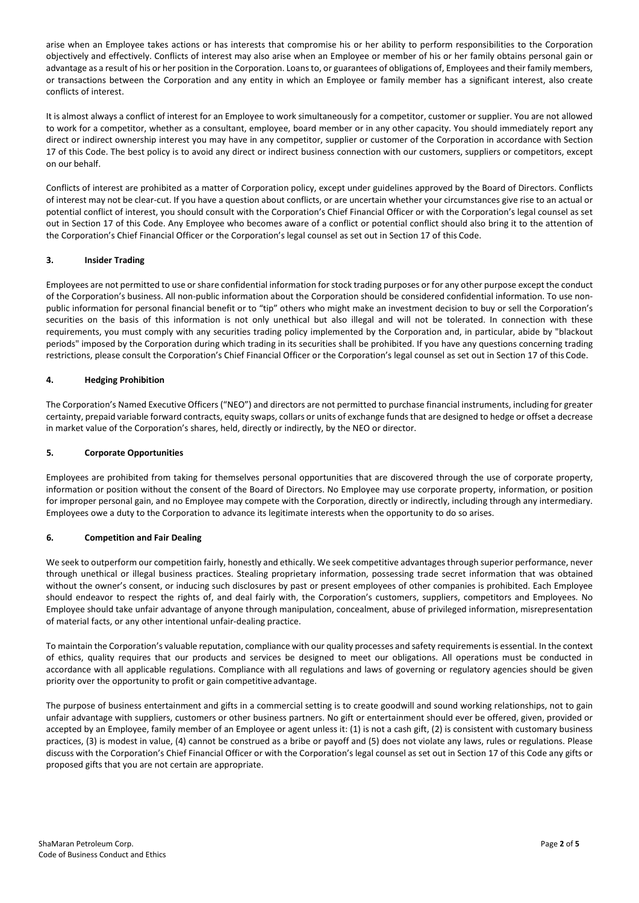arise when an Employee takes actions or has interests that compromise his or her ability to perform responsibilities to the Corporation objectively and effectively. Conflicts of interest may also arise when an Employee or member of his or her family obtains personal gain or advantage as a result of his or her position in the Corporation. Loans to, or guarantees of obligations of, Employees and their family members, or transactions between the Corporation and any entity in which an Employee or family member has a significant interest, also create conflicts of interest.

It is almost always a conflict of interest for an Employee to work simultaneously for a competitor, customer or supplier. You are not allowed to work for a competitor, whether as a consultant, employee, board member or in any other capacity. You should immediately report any direct or indirect ownership interest you may have in any competitor, supplier or customer of the Corporation in accordance with Section 17 of this Code. The best policy is to avoid any direct or indirect business connection with our customers, suppliers or competitors, except on our behalf.

Conflicts of interest are prohibited as a matter of Corporation policy, except under guidelines approved by the Board of Directors. Conflicts of interest may not be clear‐cut. If you have a question about conflicts, or are uncertain whether your circumstances give rise to an actual or potential conflict of interest, you should consult with the Corporation's Chief Financial Officer or with the Corporation's legal counsel as set out in Section 17 of this Code. Any Employee who becomes aware of a conflict or potential conflict should also bring it to the attention of the Corporation's Chief Financial Officer or the Corporation's legal counsel as set out in Section 17 of this Code.

# **3. Insider Trading**

Employees are not permitted to use or share confidential information for stock trading purposes or for any other purpose except the conduct of the Corporation's business. All non‐public information about the Corporation should be considered confidential information. To use non‐ public information for personal financial benefit or to "tip" others who might make an investment decision to buy or sell the Corporation's securities on the basis of this information is not only unethical but also illegal and will not be tolerated. In connection with these requirements, you must comply with any securities trading policy implemented by the Corporation and, in particular, abide by "blackout periods" imposed by the Corporation during which trading in its securities shall be prohibited. If you have any questions concerning trading restrictions, please consult the Corporation's Chief Financial Officer or the Corporation's legal counsel as set out in Section 17 of this Code.

## **4. Hedging Prohibition**

The Corporation's Named Executive Officers ("NEO") and directors are not permitted to purchase financial instruments, including for greater certainty, prepaid variable forward contracts, equity swaps, collars or units of exchange funds that are designed to hedge or offset a decrease in market value of the Corporation's shares, held, directly or indirectly, by the NEO or director.

## **5. Corporate Opportunities**

Employees are prohibited from taking for themselves personal opportunities that are discovered through the use of corporate property, information or position without the consent of the Board of Directors. No Employee may use corporate property, information, or position for improper personal gain, and no Employee may compete with the Corporation, directly or indirectly, including through any intermediary. Employees owe a duty to the Corporation to advance its legitimate interests when the opportunity to do so arises.

## **6. Competition and Fair Dealing**

We seek to outperform our competition fairly, honestly and ethically. We seek competitive advantages through superior performance, never through unethical or illegal business practices. Stealing proprietary information, possessing trade secret information that was obtained without the owner's consent, or inducing such disclosures by past or present employees of other companies is prohibited. Each Employee should endeavor to respect the rights of, and deal fairly with, the Corporation's customers, suppliers, competitors and Employees. No Employee should take unfair advantage of anyone through manipulation, concealment, abuse of privileged information, misrepresentation of material facts, or any other intentional unfair‐dealing practice.

To maintain the Corporation's valuable reputation, compliance with our quality processes and safety requirements is essential. In the context of ethics, quality requires that our products and services be designed to meet our obligations. All operations must be conducted in accordance with all applicable regulations. Compliance with all regulations and laws of governing or regulatory agencies should be given priority over the opportunity to profit or gain competitiveadvantage.

The purpose of business entertainment and gifts in a commercial setting is to create goodwill and sound working relationships, not to gain unfair advantage with suppliers, customers or other business partners. No gift or entertainment should ever be offered, given, provided or accepted by an Employee, family member of an Employee or agent unless it: (1) is not a cash gift, (2) is consistent with customary business practices, (3) is modest in value, (4) cannot be construed as a bribe or payoff and (5) does not violate any laws, rules or regulations. Please discuss with the Corporation's Chief Financial Officer or with the Corporation's legal counsel as set out in Section 17 of this Code any gifts or proposed gifts that you are not certain are appropriate.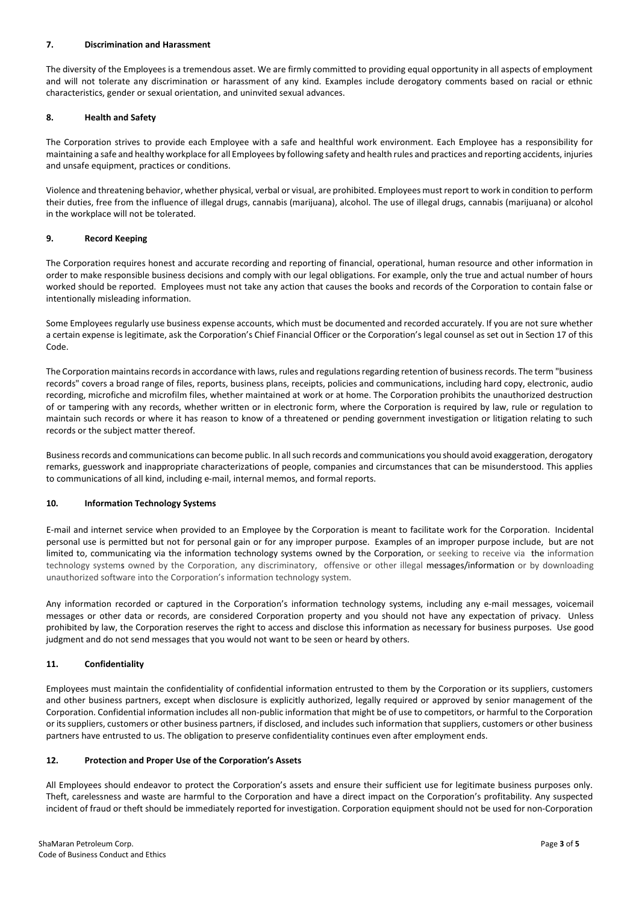#### **7. Discrimination and Harassment**

The diversity of the Employees is a tremendous asset. We are firmly committed to providing equal opportunity in all aspects of employment and will not tolerate any discrimination or harassment of any kind. Examples include derogatory comments based on racial or ethnic characteristics, gender or sexual orientation, and uninvited sexual advances.

#### **8. Health and Safety**

The Corporation strives to provide each Employee with a safe and healthful work environment. Each Employee has a responsibility for maintaining a safe and healthy workplace for all Employees by following safety and health rules and practices and reporting accidents, injuries and unsafe equipment, practices or conditions.

Violence and threatening behavior, whether physical, verbal or visual, are prohibited. Employees must report to work in condition to perform their duties, free from the influence of illegal drugs, cannabis (marijuana), alcohol. The use of illegal drugs, cannabis (marijuana) or alcohol in the workplace will not be tolerated.

#### **9. Record Keeping**

The Corporation requires honest and accurate recording and reporting of financial, operational, human resource and other information in order to make responsible business decisions and comply with our legal obligations. For example, only the true and actual number of hours worked should be reported. Employees must not take any action that causes the books and records of the Corporation to contain false or intentionally misleading information.

Some Employees regularly use business expense accounts, which must be documented and recorded accurately. If you are not sure whether a certain expense is legitimate, ask the Corporation's Chief Financial Officer or the Corporation's legal counsel as set out in Section 17 of this Code.

The Corporation maintains records in accordance with laws, rules and regulations regarding retention of business records. The term "business records" covers a broad range of files, reports, business plans, receipts, policies and communications, including hard copy, electronic, audio recording, microfiche and microfilm files, whether maintained at work or at home. The Corporation prohibits the unauthorized destruction of or tampering with any records, whether written or in electronic form, where the Corporation is required by law, rule or regulation to maintain such records or where it has reason to know of a threatened or pending government investigation or litigation relating to such records or the subject matter thereof.

Business records and communications can become public. In all such records and communications you should avoid exaggeration, derogatory remarks, guesswork and inappropriate characterizations of people, companies and circumstances that can be misunderstood. This applies to communications of all kind, including e‐mail, internal memos, and formal reports.

## **10. Information Technology Systems**

E-mail and internet service when provided to an Employee by the Corporation is meant to facilitate work for the Corporation. Incidental personal use is permitted but not for personal gain or for any improper purpose. Examples of an improper purpose include, but are not limited to, communicating via the information technology systems owned by the Corporation, or seeking to receive via the information technology systems owned by the Corporation, any discriminatory, offensive or other illegal messages/information or by downloading unauthorized software into the Corporation's information technology system.

Any information recorded or captured in the Corporation's information technology systems, including any e-mail messages, voicemail messages or other data or records, are considered Corporation property and you should not have any expectation of privacy. Unless prohibited by law, the Corporation reserves the right to access and disclose this information as necessary for business purposes. Use good judgment and do not send messages that you would not want to be seen or heard by others.

## **11. Confidentiality**

Employees must maintain the confidentiality of confidential information entrusted to them by the Corporation or its suppliers, customers and other business partners, except when disclosure is explicitly authorized, legally required or approved by senior management of the Corporation. Confidential information includes all non‐public information that might be of use to competitors, or harmful to the Corporation or its suppliers, customers or other business partners, if disclosed, and includes such information that suppliers, customers or other business partners have entrusted to us. The obligation to preserve confidentiality continues even after employment ends.

#### **12. Protection and Proper Use of the Corporation's Assets**

All Employees should endeavor to protect the Corporation's assets and ensure their sufficient use for legitimate business purposes only. Theft, carelessness and waste are harmful to the Corporation and have a direct impact on the Corporation's profitability. Any suspected incident of fraud or theft should be immediately reported for investigation. Corporation equipment should not be used for non‐Corporation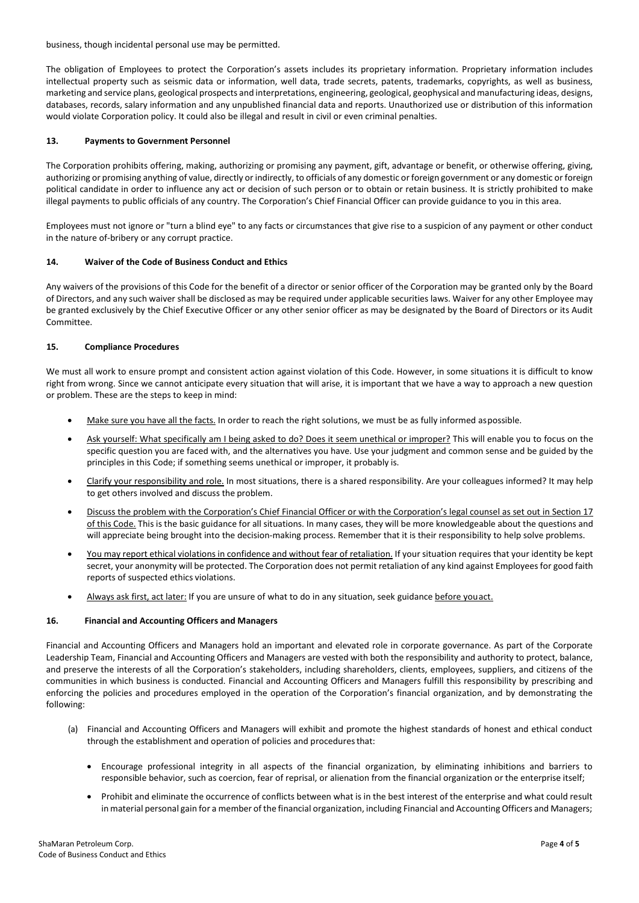business, though incidental personal use may be permitted.

The obligation of Employees to protect the Corporation's assets includes its proprietary information. Proprietary information includes intellectual property such as seismic data or information, well data, trade secrets, patents, trademarks, copyrights, as well as business, marketing and service plans, geological prospects and interpretations, engineering, geological, geophysical and manufacturing ideas, designs, databases, records, salary information and any unpublished financial data and reports. Unauthorized use or distribution of this information would violate Corporation policy. It could also be illegal and result in civil or even criminal penalties.

## **13. Payments to Government Personnel**

The Corporation prohibits offering, making, authorizing or promising any payment, gift, advantage or benefit, or otherwise offering, giving, authorizing or promising anything of value, directly or indirectly, to officials of any domestic or foreign government or any domestic or foreign political candidate in order to influence any act or decision of such person or to obtain or retain business. It is strictly prohibited to make illegal payments to public officials of any country. The Corporation's Chief Financial Officer can provide guidance to you in this area.

Employees must not ignore or "turn a blind eye" to any facts or circumstances that give rise to a suspicion of any payment or other conduct in the nature of-bribery or any corrupt practice.

## **14. Waiver of the Code of Business Conduct and Ethics**

Any waivers of the provisions of this Code for the benefit of a director or senior officer of the Corporation may be granted only by the Board of Directors, and any such waiver shall be disclosed as may be required under applicable securities laws. Waiver for any other Employee may be granted exclusively by the Chief Executive Officer or any other senior officer as may be designated by the Board of Directors or its Audit Committee.

# **15. Compliance Procedures**

We must all work to ensure prompt and consistent action against violation of this Code. However, in some situations it is difficult to know right from wrong. Since we cannot anticipate every situation that will arise, it is important that we have a way to approach a new question or problem. These are the steps to keep in mind:

- Make sure you have all the facts. In order to reach the right solutions, we must be as fully informed aspossible.
- Ask yourself: What specifically am I being asked to do? Does it seem unethical or improper? This will enable you to focus on the specific question you are faced with, and the alternatives you have. Use your judgment and common sense and be guided by the principles in this Code; if something seems unethical or improper, it probably is.
- Clarify your responsibility and role. In most situations, there is a shared responsibility. Are your colleagues informed? It may help to get others involved and discuss the problem.
- Discuss the problem with the Corporation's Chief Financial Officer or with the Corporation's legal counsel as set out in Section 17 of this Code. This is the basic guidance for all situations. In many cases, they will be more knowledgeable about the questions and will appreciate being brought into the decision-making process. Remember that it is their responsibility to help solve problems.
- You may report ethical violations in confidence and without fear of retaliation. If your situation requires that your identity be kept secret, your anonymity will be protected. The Corporation does not permit retaliation of any kind against Employees for good faith reports of suspected ethics violations.
- Always ask first, act later: If you are unsure of what to do in any situation, seek guidance before youact.

## **16. Financial and Accounting Officers and Managers**

Financial and Accounting Officers and Managers hold an important and elevated role in corporate governance. As part of the Corporate Leadership Team, Financial and Accounting Officers and Managers are vested with both the responsibility and authority to protect, balance, and preserve the interests of all the Corporation's stakeholders, including shareholders, clients, employees, suppliers, and citizens of the communities in which business is conducted. Financial and Accounting Officers and Managers fulfill this responsibility by prescribing and enforcing the policies and procedures employed in the operation of the Corporation's financial organization, and by demonstrating the following:

- (a) Financial and Accounting Officers and Managers will exhibit and promote the highest standards of honest and ethical conduct through the establishment and operation of policies and proceduresthat:
	- Encourage professional integrity in all aspects of the financial organization, by eliminating inhibitions and barriers to responsible behavior, such as coercion, fear of reprisal, or alienation from the financial organization or the enterprise itself;
	- Prohibit and eliminate the occurrence of conflicts between what is in the best interest of the enterprise and what could result in material personal gain for a member of the financial organization, including Financial and Accounting Officers and Managers;